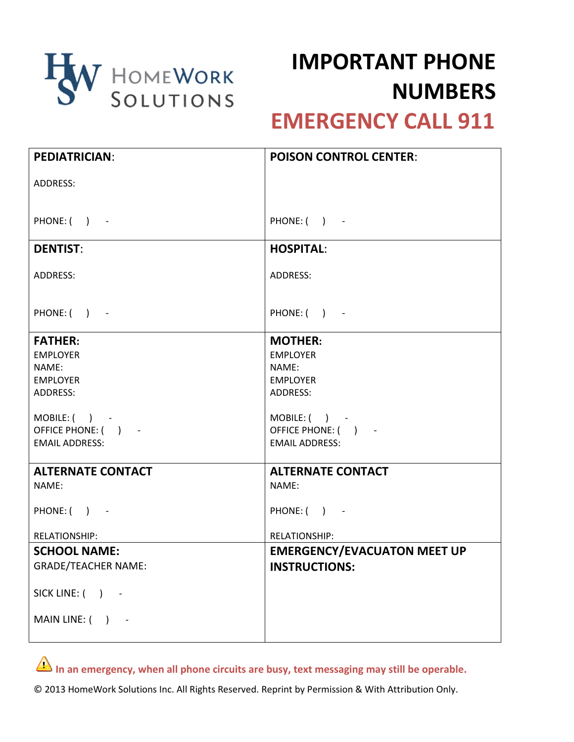

## **IMPORTANT PHONE NUMBERS**

## **EMERGENCY CALL 911**

| <b>PEDIATRICIAN:</b>       | <b>POISON CONTROL CENTER:</b>      |
|----------------------------|------------------------------------|
| ADDRESS:                   |                                    |
|                            |                                    |
| PHONE: () -                | PHONE: () -                        |
| <b>DENTIST:</b>            | <b>HOSPITAL:</b>                   |
| ADDRESS:                   | ADDRESS:                           |
| PHONE: () -                | PHONE: () -                        |
| <b>FATHER:</b>             | <b>MOTHER:</b>                     |
| <b>EMPLOYER</b>            | <b>EMPLOYER</b>                    |
| NAME:                      | NAME:                              |
| <b>EMPLOYER</b>            | <b>EMPLOYER</b>                    |
| ADDRESS:                   | ADDRESS:                           |
| $MOBILE:$ $($ $)$ $-$      | $MOBILE:$ $)$ -                    |
| OFFICE PHONE: () -         | OFFICE PHONE: ( ) -                |
| <b>EMAIL ADDRESS:</b>      | <b>EMAIL ADDRESS:</b>              |
| <b>ALTERNATE CONTACT</b>   | <b>ALTERNATE CONTACT</b>           |
| NAME:                      | NAME:                              |
| PHONE: () -                | PHONE: () -                        |
| <b>RELATIONSHIP:</b>       | <b>RELATIONSHIP:</b>               |
| <b>SCHOOL NAME:</b>        | <b>EMERGENCY/EVACUATON MEET UP</b> |
| <b>GRADE/TEACHER NAME:</b> | <b>INSTRUCTIONS:</b>               |
| SICK LINE: ( ) -           |                                    |
| MAIN LINE: () -            |                                    |

In an emergency, when all phone circuits are busy, text messaging may still be operable.

© 2013 HomeWork Solutions Inc. All Rights Reserved. Reprint by Permission & With Attribution Only.